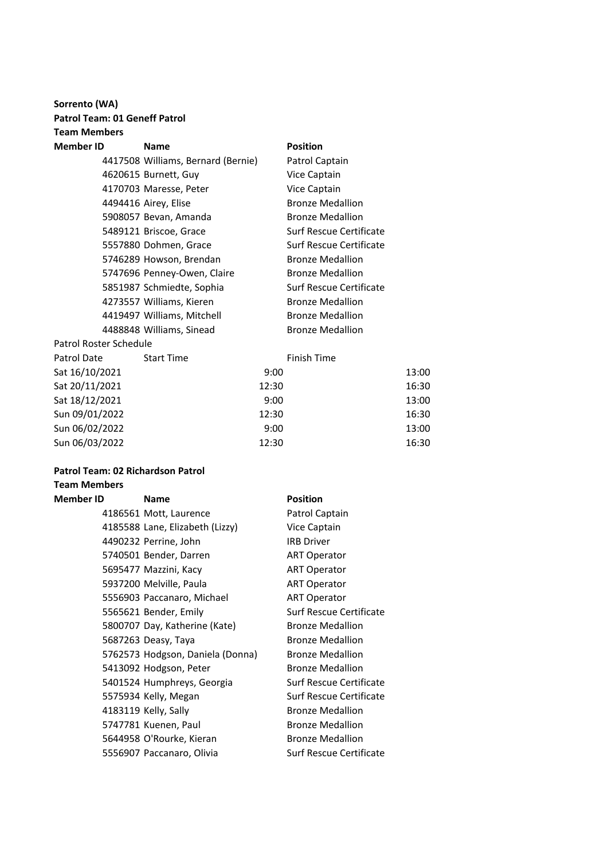### **Sorrento (WA) Patrol Team: 01 Geneff Patrol Team Members**

| Member ID              | <b>Name</b>                        | <b>Position</b>         |
|------------------------|------------------------------------|-------------------------|
|                        | 4417508 Williams, Bernard (Bernie) | Patrol Captain          |
|                        | 4620615 Burnett, Guy               | Vice Captain            |
|                        | 4170703 Maresse, Peter             | Vice Captain            |
|                        | 4494416 Airey, Elise               | <b>Bronze Medallion</b> |
|                        | 5908057 Bevan, Amanda              | <b>Bronze Medallion</b> |
|                        | 5489121 Briscoe, Grace             | Surf Rescue Certificate |
|                        | 5557880 Dohmen, Grace              | Surf Rescue Certificate |
|                        | 5746289 Howson, Brendan            | <b>Bronze Medallion</b> |
|                        | 5747696 Penney-Owen, Claire        | <b>Bronze Medallion</b> |
|                        | 5851987 Schmiedte, Sophia          | Surf Rescue Certificate |
|                        | 4273557 Williams, Kieren           | <b>Bronze Medallion</b> |
|                        | 4419497 Williams, Mitchell         | <b>Bronze Medallion</b> |
|                        | 4488848 Williams, Sinead           | <b>Bronze Medallion</b> |
| Patrol Roster Schedule |                                    |                         |
|                        |                                    |                         |

| Patrol Date    | <b>Start Time</b> | Finish Time |       |
|----------------|-------------------|-------------|-------|
| Sat 16/10/2021 |                   | 9:00        | 13:00 |
| Sat 20/11/2021 |                   | 12:30       | 16:30 |
| Sat 18/12/2021 |                   | 9:00        | 13:00 |
| Sun 09/01/2022 |                   | 12:30       | 16:30 |
| Sun 06/02/2022 |                   | 9:00        | 13:00 |
| Sun 06/03/2022 |                   | 12:30       | 16:30 |
|                |                   |             |       |

### **Patrol Team: 02 Richardson Patrol**

#### **Team Members Member**

| ID | <b>Name</b>                      | <b>Position</b>         |
|----|----------------------------------|-------------------------|
|    | 4186561 Mott, Laurence           | Patrol Captain          |
|    | 4185588 Lane, Elizabeth (Lizzy)  | Vice Captain            |
|    | 4490232 Perrine, John            | <b>IRB Driver</b>       |
|    | 5740501 Bender, Darren           | <b>ART Operator</b>     |
|    | 5695477 Mazzini, Kacy            | <b>ART Operator</b>     |
|    | 5937200 Melville, Paula          | <b>ART Operator</b>     |
|    | 5556903 Paccanaro, Michael       | <b>ART Operator</b>     |
|    | 5565621 Bender, Emily            | Surf Rescue Certificate |
|    | 5800707 Day, Katherine (Kate)    | <b>Bronze Medallion</b> |
|    | 5687263 Deasy, Taya              | <b>Bronze Medallion</b> |
|    | 5762573 Hodgson, Daniela (Donna) | <b>Bronze Medallion</b> |
|    | 5413092 Hodgson, Peter           | <b>Bronze Medallion</b> |
|    | 5401524 Humphreys, Georgia       | Surf Rescue Certificate |
|    | 5575934 Kelly, Megan             | Surf Rescue Certificate |
|    | 4183119 Kelly, Sally             | <b>Bronze Medallion</b> |
|    | 5747781 Kuenen, Paul             | <b>Bronze Medallion</b> |
|    | 5644958 O'Rourke, Kieran         | <b>Bronze Medallion</b> |
|    | 5556907 Paccanaro, Olivia        | Surf Rescue Certificate |
|    |                                  |                         |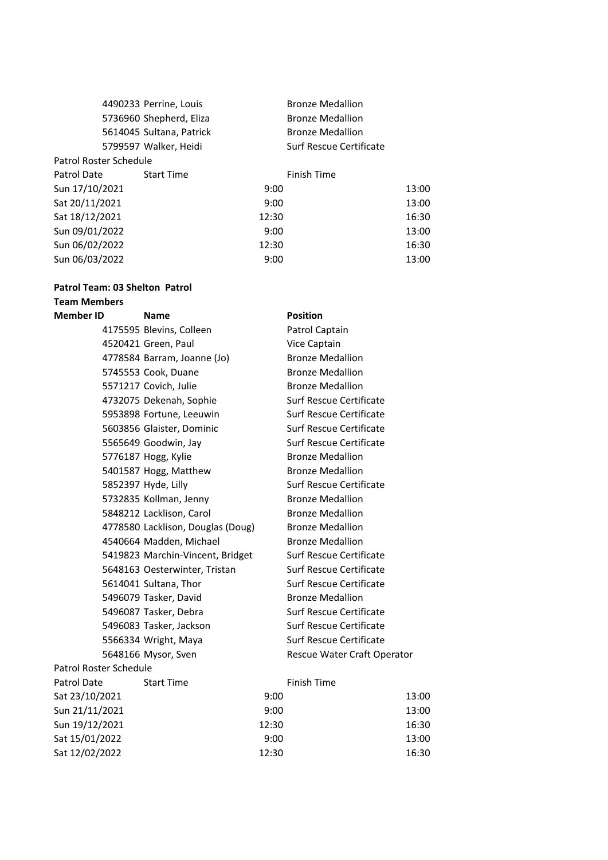|                        | 4490233 Perrine, Louis   |       | <b>Bronze Medallion</b> |       |
|------------------------|--------------------------|-------|-------------------------|-------|
|                        | 5736960 Shepherd, Eliza  |       | <b>Bronze Medallion</b> |       |
|                        | 5614045 Sultana, Patrick |       | <b>Bronze Medallion</b> |       |
|                        | 5799597 Walker, Heidi    |       | Surf Rescue Certificate |       |
| Patrol Roster Schedule |                          |       |                         |       |
| Patrol Date            | <b>Start Time</b>        |       | <b>Finish Time</b>      |       |
| Sun 17/10/2021         |                          | 9:00  |                         | 13:00 |
| Sat 20/11/2021         |                          | 9:00  |                         | 13:00 |
| Sat 18/12/2021         |                          | 12:30 |                         | 16:30 |
| Sun 09/01/2022         |                          | 9:00  |                         | 13:00 |
| Sun 06/02/2022         |                          | 12:30 |                         | 16:30 |
| Sun 06/03/2022         |                          | 9:00  |                         | 13:00 |

#### **Patrol Team: 03 Shelton Patrol Team Members**

#### **Member ID Name Position**

|                               | 4175595 Blevins, Colleen          |       | Patrol Captain                 |       |
|-------------------------------|-----------------------------------|-------|--------------------------------|-------|
|                               | 4520421 Green, Paul               |       | Vice Captain                   |       |
|                               | 4778584 Barram, Joanne (Jo)       |       | <b>Bronze Medallion</b>        |       |
|                               | 5745553 Cook, Duane               |       | <b>Bronze Medallion</b>        |       |
|                               | 5571217 Covich, Julie             |       | <b>Bronze Medallion</b>        |       |
|                               | 4732075 Dekenah, Sophie           |       | Surf Rescue Certificate        |       |
|                               | 5953898 Fortune, Leeuwin          |       | Surf Rescue Certificate        |       |
|                               | 5603856 Glaister, Dominic         |       | <b>Surf Rescue Certificate</b> |       |
|                               | 5565649 Goodwin, Jay              |       | <b>Surf Rescue Certificate</b> |       |
|                               | 5776187 Hogg, Kylie               |       | <b>Bronze Medallion</b>        |       |
|                               | 5401587 Hogg, Matthew             |       | <b>Bronze Medallion</b>        |       |
|                               | 5852397 Hyde, Lilly               |       | <b>Surf Rescue Certificate</b> |       |
|                               | 5732835 Kollman, Jenny            |       | <b>Bronze Medallion</b>        |       |
|                               | 5848212 Lacklison, Carol          |       | <b>Bronze Medallion</b>        |       |
|                               | 4778580 Lacklison, Douglas (Doug) |       | <b>Bronze Medallion</b>        |       |
|                               | 4540664 Madden, Michael           |       | <b>Bronze Medallion</b>        |       |
|                               | 5419823 Marchin-Vincent, Bridget  |       | <b>Surf Rescue Certificate</b> |       |
|                               | 5648163 Oesterwinter, Tristan     |       | Surf Rescue Certificate        |       |
|                               | 5614041 Sultana, Thor             |       | Surf Rescue Certificate        |       |
|                               | 5496079 Tasker, David             |       | <b>Bronze Medallion</b>        |       |
|                               | 5496087 Tasker, Debra             |       | <b>Surf Rescue Certificate</b> |       |
|                               | 5496083 Tasker, Jackson           |       | Surf Rescue Certificate        |       |
|                               | 5566334 Wright, Maya              |       | Surf Rescue Certificate        |       |
|                               | 5648166 Mysor, Sven               |       | Rescue Water Craft Operator    |       |
| <b>Patrol Roster Schedule</b> |                                   |       |                                |       |
| Patrol Date                   | <b>Start Time</b>                 |       | <b>Finish Time</b>             |       |
| Sat 23/10/2021                |                                   | 9:00  |                                | 13:00 |
| Sun 21/11/2021                |                                   | 9:00  |                                | 13:00 |
| Sun 19/12/2021                |                                   | 12:30 |                                | 16:30 |
| Sat 15/01/2022                |                                   | 9:00  |                                | 13:00 |
| Sat 12/02/2022                |                                   | 12:30 |                                | 16:30 |
|                               |                                   |       |                                |       |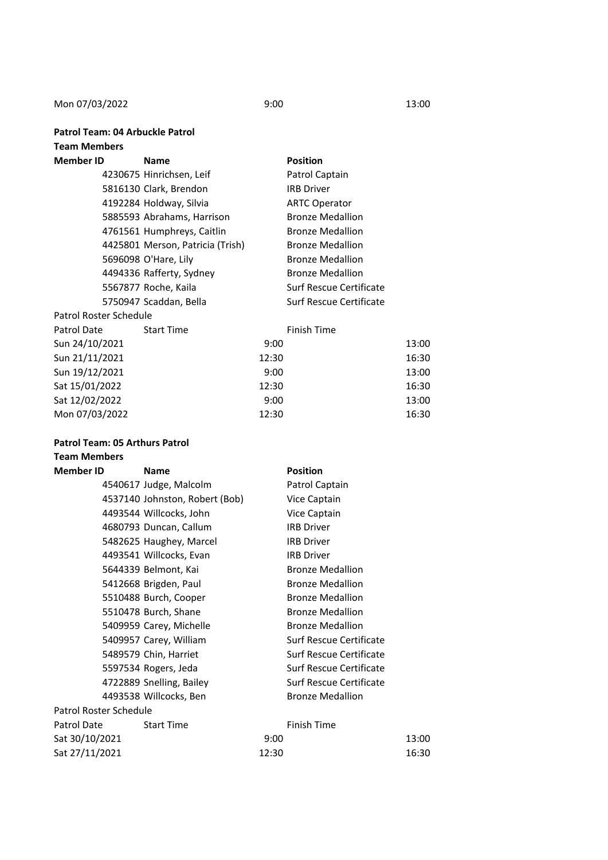Mon 07/03/2022 9:00 9:00 9:00 13:00

**Patrol Team: 04 Arbuckle Patrol**

#### **Team Members**

| Member ID              | <b>Name</b>                      | <b>Position</b>         |
|------------------------|----------------------------------|-------------------------|
|                        | 4230675 Hinrichsen, Leif         | Patrol Captain          |
|                        | 5816130 Clark, Brendon           | <b>IRB Driver</b>       |
|                        | 4192284 Holdway, Silvia          | <b>ARTC Operator</b>    |
|                        | 5885593 Abrahams, Harrison       | <b>Bronze Medallion</b> |
|                        | 4761561 Humphreys, Caitlin       | <b>Bronze Medallion</b> |
|                        | 4425801 Merson, Patricia (Trish) | <b>Bronze Medallion</b> |
|                        | 5696098 O'Hare, Lily             | <b>Bronze Medallion</b> |
|                        | 4494336 Rafferty, Sydney         | <b>Bronze Medallion</b> |
|                        | 5567877 Roche, Kaila             | Surf Rescue Certificate |
|                        | 5750947 Scaddan, Bella           | Surf Rescue Certificate |
| Patrol Roster Schedule |                                  |                         |

| <b>Start Time</b> |       | Finish Time |       |
|-------------------|-------|-------------|-------|
|                   | 9:00  |             | 13:00 |
|                   | 12:30 |             | 16:30 |
|                   | 9:00  |             | 13:00 |
|                   | 12:30 |             | 16:30 |
|                   | 9:00  |             | 13:00 |
|                   | 12:30 |             | 16:30 |
|                   |       |             |       |

# **Patrol Team: 05 Arthurs Patrol**

# **Team Members**

| <b>Member ID</b>       | <b>Name</b>                    |       | <b>Position</b>                |       |
|------------------------|--------------------------------|-------|--------------------------------|-------|
|                        | 4540617 Judge, Malcolm         |       | Patrol Captain                 |       |
|                        | 4537140 Johnston, Robert (Bob) |       | Vice Captain                   |       |
|                        | 4493544 Willcocks, John        |       | Vice Captain                   |       |
|                        | 4680793 Duncan, Callum         |       | <b>IRB Driver</b>              |       |
|                        | 5482625 Haughey, Marcel        |       | <b>IRB Driver</b>              |       |
|                        | 4493541 Willcocks, Evan        |       | <b>IRB Driver</b>              |       |
|                        | 5644339 Belmont, Kai           |       | <b>Bronze Medallion</b>        |       |
|                        | 5412668 Brigden, Paul          |       | <b>Bronze Medallion</b>        |       |
|                        | 5510488 Burch, Cooper          |       | <b>Bronze Medallion</b>        |       |
|                        | 5510478 Burch, Shane           |       | <b>Bronze Medallion</b>        |       |
|                        | 5409959 Carey, Michelle        |       | <b>Bronze Medallion</b>        |       |
|                        | 5409957 Carey, William         |       | Surf Rescue Certificate        |       |
|                        | 5489579 Chin, Harriet          |       | Surf Rescue Certificate        |       |
|                        | 5597534 Rogers, Jeda           |       | <b>Surf Rescue Certificate</b> |       |
|                        | 4722889 Snelling, Bailey       |       | Surf Rescue Certificate        |       |
|                        | 4493538 Willcocks, Ben         |       | <b>Bronze Medallion</b>        |       |
| Patrol Roster Schedule |                                |       |                                |       |
| Patrol Date            | <b>Start Time</b>              |       | <b>Finish Time</b>             |       |
| Sat 30/10/2021         |                                | 9:00  |                                | 13:00 |
| Sat 27/11/2021         |                                | 12:30 |                                | 16:30 |
|                        |                                |       |                                |       |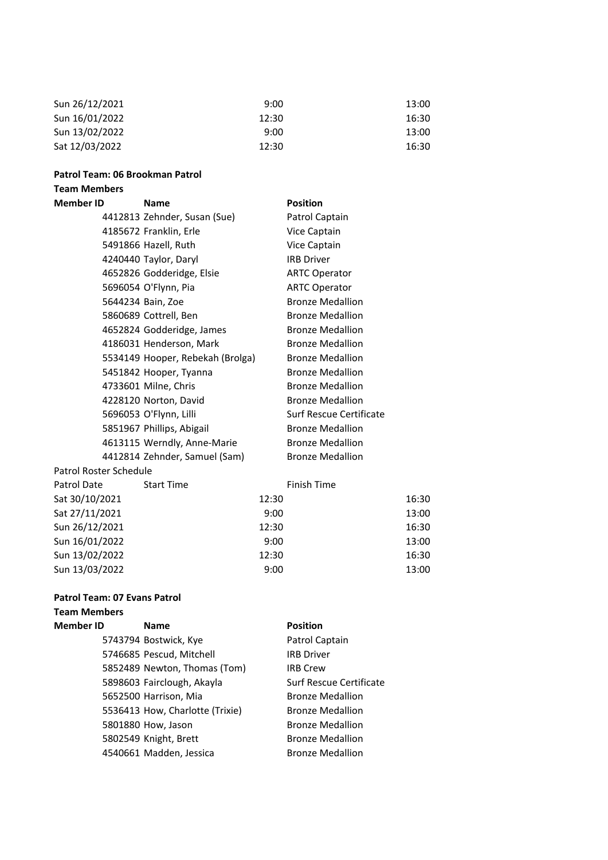| Sun 26/12/2021 | 9:00  | 13:00 |
|----------------|-------|-------|
| Sun 16/01/2022 | 12:30 | 16:30 |
| Sun 13/02/2022 | 9:00  | 13:00 |
| Sat 12/03/2022 | 12:30 | 16:30 |

#### **Patrol Team: 06 Brookman Patrol**

### **Team Members**

| <b>Member ID</b>       | <b>Name</b>                      | <b>Position</b>         |
|------------------------|----------------------------------|-------------------------|
|                        | 4412813 Zehnder, Susan (Sue)     | Patrol Captain          |
|                        | 4185672 Franklin, Erle           | Vice Captain            |
|                        | 5491866 Hazell, Ruth             | Vice Captain            |
|                        | 4240440 Taylor, Daryl            | <b>IRB Driver</b>       |
|                        | 4652826 Godderidge, Elsie        | <b>ARTC Operator</b>    |
|                        | 5696054 O'Flynn, Pia             | <b>ARTC Operator</b>    |
|                        | 5644234 Bain, Zoe                | <b>Bronze Medallion</b> |
|                        | 5860689 Cottrell, Ben            | <b>Bronze Medallion</b> |
|                        | 4652824 Godderidge, James        | <b>Bronze Medallion</b> |
|                        | 4186031 Henderson, Mark          | <b>Bronze Medallion</b> |
|                        | 5534149 Hooper, Rebekah (Brolga) | <b>Bronze Medallion</b> |
|                        | 5451842 Hooper, Tyanna           | <b>Bronze Medallion</b> |
|                        | 4733601 Milne, Chris             | <b>Bronze Medallion</b> |
|                        | 4228120 Norton, David            | <b>Bronze Medallion</b> |
|                        | 5696053 O'Flynn, Lilli           | Surf Rescue Certificate |
|                        | 5851967 Phillips, Abigail        | <b>Bronze Medallion</b> |
|                        | 4613115 Werndly, Anne-Marie      | <b>Bronze Medallion</b> |
|                        | 4412814 Zehnder, Samuel (Sam)    | <b>Bronze Medallion</b> |
| Patrol Roster Schedule |                                  |                         |
| Patrol Date            | <b>Start Time</b>                | <b>Finish Time</b>      |
| Sat 30/10/2021         |                                  | 12:30                   |

| 12:30 | 16:30 |
|-------|-------|
| 9:00  | 13:00 |
| 12:30 | 16:30 |
| 9:00  | 13:00 |
| 12:30 | 16:30 |
| 9:00  | 13:00 |

#### **Patrol Team: 07 Evans Patrol**

## **Team Members**

Sat 27/11/2021 Sun 26/12/2021 Sun 16/01/2022 Sun 13/02/2022 Sun 13/03/2022

| <b>Member ID</b> | <b>Name</b>                     | <b>Position</b>         |
|------------------|---------------------------------|-------------------------|
|                  | 5743794 Bostwick, Kye           | Patrol Captain          |
|                  | 5746685 Pescud, Mitchell        | <b>IRB Driver</b>       |
|                  | 5852489 Newton, Thomas (Tom)    | <b>IRB Crew</b>         |
|                  | 5898603 Fairclough, Akayla      | Surf Rescue Certificate |
|                  | 5652500 Harrison, Mia           | <b>Bronze Medallion</b> |
|                  | 5536413 How, Charlotte (Trixie) | <b>Bronze Medallion</b> |
|                  | 5801880 How, Jason              | <b>Bronze Medallion</b> |
|                  | 5802549 Knight, Brett           | <b>Bronze Medallion</b> |
|                  | 4540661 Madden, Jessica         | <b>Bronze Medallion</b> |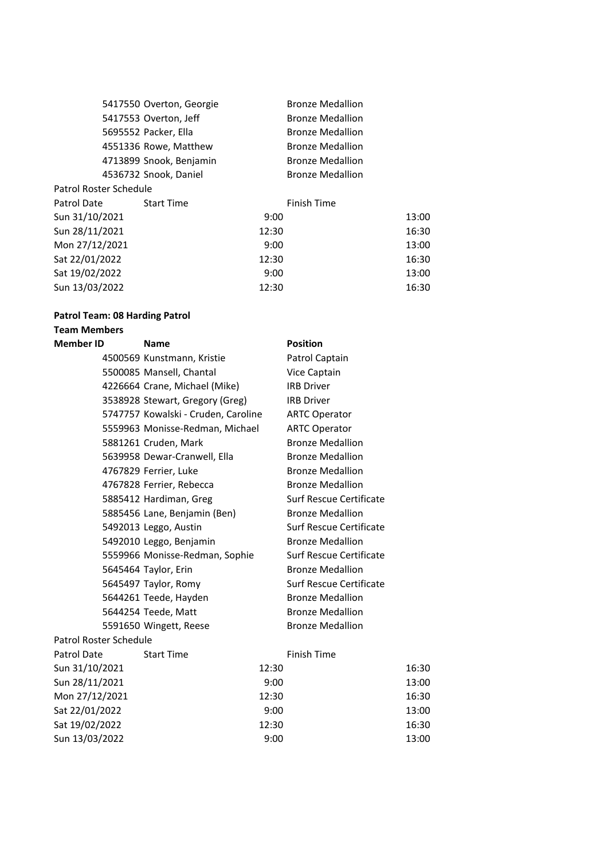|                               | 5417550 Overton, Georgie |       | <b>Bronze Medallion</b> |       |
|-------------------------------|--------------------------|-------|-------------------------|-------|
|                               | 5417553 Overton, Jeff    |       | <b>Bronze Medallion</b> |       |
|                               | 5695552 Packer, Ella     |       | <b>Bronze Medallion</b> |       |
|                               | 4551336 Rowe, Matthew    |       | <b>Bronze Medallion</b> |       |
|                               | 4713899 Snook, Benjamin  |       | <b>Bronze Medallion</b> |       |
|                               | 4536732 Snook, Daniel    |       | <b>Bronze Medallion</b> |       |
| <b>Patrol Roster Schedule</b> |                          |       |                         |       |
| Patrol Date                   | <b>Start Time</b>        |       | <b>Finish Time</b>      |       |
| Sun 31/10/2021                |                          | 9:00  |                         | 13:00 |
| Sun 28/11/2021                |                          | 12:30 |                         | 16:30 |
| Mon 27/12/2021                |                          | 9:00  |                         | 13:00 |
| Sat 22/01/2022                |                          | 12:30 |                         | 16:30 |
| Sat 19/02/2022                |                          | 9:00  |                         | 13:00 |
| Sun 13/03/2022                |                          | 12:30 |                         | 16:30 |

### **Patrol Team: 08 Harding Patrol**

# **Team Members**

| <b>Member ID</b>       | <b>Name</b>                         |       | <b>Position</b>                |       |
|------------------------|-------------------------------------|-------|--------------------------------|-------|
|                        | 4500569 Kunstmann, Kristie          |       | Patrol Captain                 |       |
|                        | 5500085 Mansell, Chantal            |       | Vice Captain                   |       |
|                        | 4226664 Crane, Michael (Mike)       |       | <b>IRB Driver</b>              |       |
|                        | 3538928 Stewart, Gregory (Greg)     |       | <b>IRB Driver</b>              |       |
|                        | 5747757 Kowalski - Cruden, Caroline |       | <b>ARTC Operator</b>           |       |
|                        | 5559963 Monisse-Redman, Michael     |       | <b>ARTC Operator</b>           |       |
|                        | 5881261 Cruden, Mark                |       | <b>Bronze Medallion</b>        |       |
|                        | 5639958 Dewar-Cranwell, Ella        |       | <b>Bronze Medallion</b>        |       |
|                        | 4767829 Ferrier, Luke               |       | <b>Bronze Medallion</b>        |       |
|                        | 4767828 Ferrier, Rebecca            |       | <b>Bronze Medallion</b>        |       |
|                        | 5885412 Hardiman, Greg              |       | <b>Surf Rescue Certificate</b> |       |
|                        | 5885456 Lane, Benjamin (Ben)        |       | <b>Bronze Medallion</b>        |       |
|                        | 5492013 Leggo, Austin               |       | Surf Rescue Certificate        |       |
|                        | 5492010 Leggo, Benjamin             |       | <b>Bronze Medallion</b>        |       |
|                        | 5559966 Monisse-Redman, Sophie      |       | Surf Rescue Certificate        |       |
|                        | 5645464 Taylor, Erin                |       | <b>Bronze Medallion</b>        |       |
|                        | 5645497 Taylor, Romy                |       | <b>Surf Rescue Certificate</b> |       |
|                        | 5644261 Teede, Hayden               |       | <b>Bronze Medallion</b>        |       |
|                        | 5644254 Teede, Matt                 |       | <b>Bronze Medallion</b>        |       |
|                        | 5591650 Wingett, Reese              |       | <b>Bronze Medallion</b>        |       |
| Patrol Roster Schedule |                                     |       |                                |       |
| Patrol Date            | <b>Start Time</b>                   |       | <b>Finish Time</b>             |       |
| Sun 31/10/2021         |                                     | 12:30 |                                | 16:30 |
| Sun 28/11/2021         |                                     | 9:00  |                                | 13:00 |
| Mon 27/12/2021         |                                     | 12:30 |                                | 16:30 |
| Sat 22/01/2022         |                                     | 9:00  |                                | 13:00 |
| Sat 19/02/2022         |                                     | 12:30 |                                | 16:30 |
| Sun 13/03/2022         |                                     | 9:00  |                                | 13:00 |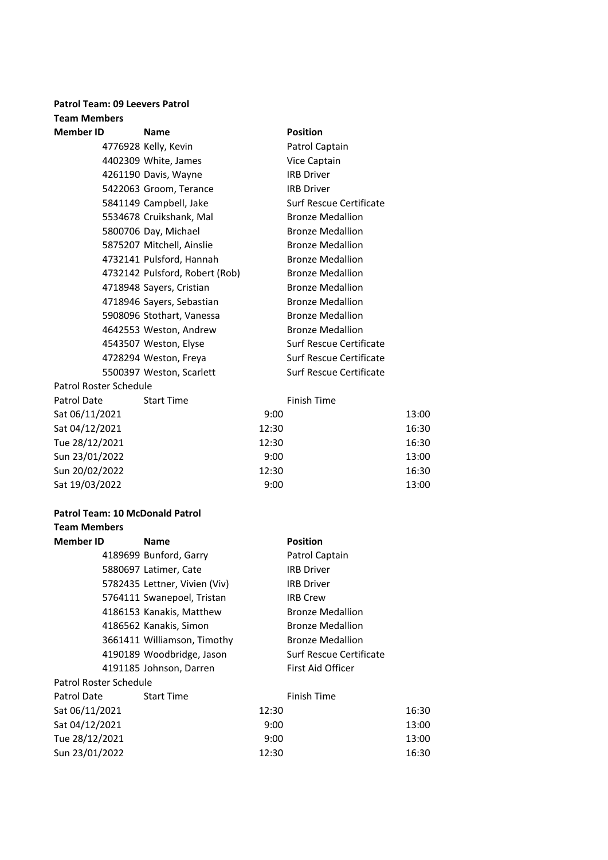#### **Patrol Team: 09 Leevers Patrol Team Members**

| <b>Member ID</b>       | <b>Name</b>                    |       | <b>Position</b>         |       |
|------------------------|--------------------------------|-------|-------------------------|-------|
|                        | 4776928 Kelly, Kevin           |       | Patrol Captain          |       |
|                        | 4402309 White, James           |       | Vice Captain            |       |
|                        | 4261190 Davis, Wayne           |       | <b>IRB Driver</b>       |       |
|                        | 5422063 Groom, Terance         |       | <b>IRB Driver</b>       |       |
|                        | 5841149 Campbell, Jake         |       | Surf Rescue Certificate |       |
|                        | 5534678 Cruikshank, Mal        |       | <b>Bronze Medallion</b> |       |
|                        | 5800706 Day, Michael           |       | <b>Bronze Medallion</b> |       |
|                        | 5875207 Mitchell, Ainslie      |       | <b>Bronze Medallion</b> |       |
|                        | 4732141 Pulsford, Hannah       |       | <b>Bronze Medallion</b> |       |
|                        | 4732142 Pulsford, Robert (Rob) |       | <b>Bronze Medallion</b> |       |
|                        | 4718948 Sayers, Cristian       |       | <b>Bronze Medallion</b> |       |
|                        | 4718946 Sayers, Sebastian      |       | <b>Bronze Medallion</b> |       |
|                        | 5908096 Stothart, Vanessa      |       | <b>Bronze Medallion</b> |       |
|                        | 4642553 Weston, Andrew         |       | <b>Bronze Medallion</b> |       |
|                        | 4543507 Weston, Elyse          |       | Surf Rescue Certificate |       |
|                        | 4728294 Weston, Freya          |       | Surf Rescue Certificate |       |
|                        | 5500397 Weston, Scarlett       |       | Surf Rescue Certificate |       |
| Patrol Roster Schedule |                                |       |                         |       |
| Patrol Date            | <b>Start Time</b>              |       | <b>Finish Time</b>      |       |
| Sat 06/11/2021         |                                | 9:00  |                         | 13:00 |
| Sat 04/12/2021         |                                | 12:30 |                         | 16:30 |
| Tue 28/12/2021         |                                | 12:30 |                         | 16:30 |
| Sun 23/01/2022         |                                | 9:00  |                         | 13:00 |

#### **Patrol Team: 10 McDonald Patrol**

| <b>Team Members</b>    |                               |       |                         |       |
|------------------------|-------------------------------|-------|-------------------------|-------|
| <b>Member ID</b>       | <b>Name</b>                   |       | <b>Position</b>         |       |
|                        | 4189699 Bunford, Garry        |       | Patrol Captain          |       |
|                        | 5880697 Latimer, Cate         |       | <b>IRB Driver</b>       |       |
|                        | 5782435 Lettner, Vivien (Viv) |       | <b>IRB Driver</b>       |       |
|                        | 5764111 Swanepoel, Tristan    |       | <b>IRB Crew</b>         |       |
|                        | 4186153 Kanakis, Matthew      |       | <b>Bronze Medallion</b> |       |
|                        | 4186562 Kanakis, Simon        |       | <b>Bronze Medallion</b> |       |
|                        | 3661411 Williamson, Timothy   |       | <b>Bronze Medallion</b> |       |
|                        | 4190189 Woodbridge, Jason     |       | Surf Rescue Certificate |       |
|                        | 4191185 Johnson, Darren       |       | First Aid Officer       |       |
| Patrol Roster Schedule |                               |       |                         |       |
| Patrol Date            | <b>Start Time</b>             |       | Finish Time             |       |
| Sat 06/11/2021         |                               | 12:30 |                         | 16:30 |
| Sat 04/12/2021         |                               | 9:00  |                         | 13:00 |
| Tue 28/12/2021         |                               | 9:00  |                         | 13:00 |
| Sun 23/01/2022         |                               | 12:30 |                         | 16:30 |

Sun 20/02/2022 12:30 16:30 Sat 19/03/2022 9:00 9:00 9:00 13:00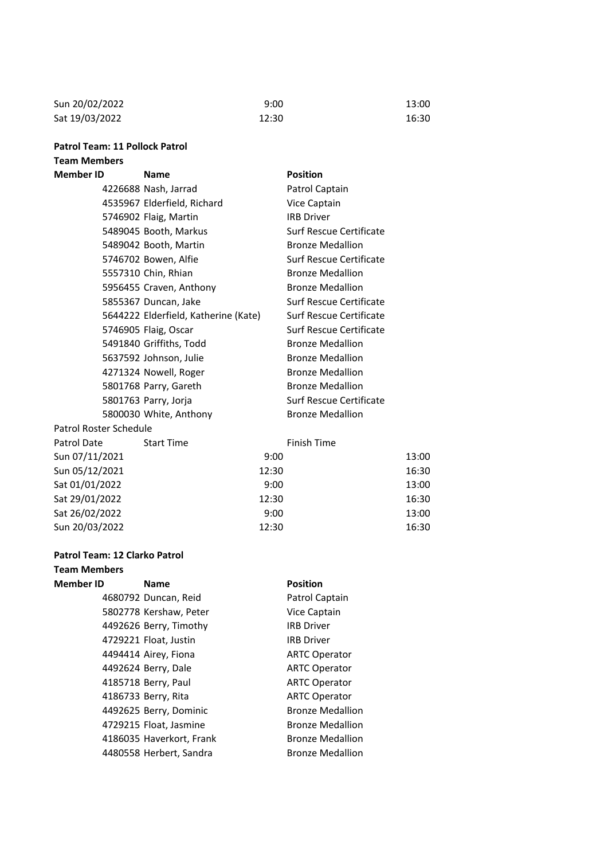| Sun 20/02/2022 | 9:00  | 13:00 |
|----------------|-------|-------|
| Sat 19/03/2022 | 12:30 | 16:30 |

#### **Patrol Team: 11 Pollock Patrol Team Members**

# **Member ID Name Position** 4226688 Nash, Jarrad Patrol Captain 4535967 Elderfield, Richard Vice Captain 5746902 Flaig, Martin IRB Driver 5489045 Booth, Markus Surf Rescue Certificate 5489042 Booth, Martin Bronze Medallion 5746702 Bowen, Alfie Surf Rescue Certificate 5557310 Chin, Rhian Bronze Medallion 5956455 Craven, Anthony Bronze Medallion 5855367 Duncan, Jake Surf Rescue Certificate 5644222 Elderfield, Katherine (Kate) Surf Rescue Certificate 5746905 Flaig, Oscar Surf Rescue Certificate 5491840 Griffiths, Todd Bronze Medallion 5637592 Johnson, Julie Bronze Medallion 4271324 Nowell, Roger Bronze Medallion 5801768 Parry, Gareth Bronze Medallion 5801763 Parry, Jorja Surf Rescue Certificate 5800030 White, Anthony Bronze Medallion Patrol Roster Schedule Patrol Date Start Time Sun 07/11/2021 Sun 05/12/2021 12:30 12:30 12:30 12:30 12:30 12:30 12:30 12:30 12:30 12:30 12:30 12:30 12:30 12:30 12:30 12:30 12:30 12:30 12:30 12:30 12:30 12:30 12:30 12:30 12:30 12:30 12:30 12:30 12:30 12:30 12:30 12:30 12:30 12:30 12: Sat 01/01/2022 Sat 29/01/2022 12:30 12:30 12:30 12:30 12:30 12:30 12:30 12:30 12:30 12:30 12:30 12:30 12:30 12:30 12:30 12:30 12:30 12:30 12:30 12:30 12:30 12:30 12:30 12:30 12:30 12:30 12:30 12:30 12:30 12:30 12:30 12:30 12:30 12:30 12:

| Patrol Roster Schedule |                   |             |       |
|------------------------|-------------------|-------------|-------|
| Patrol Date            | <b>Start Time</b> | Finish Time |       |
| Sun 07/11/2021         |                   | 9:00        | 13:00 |
| Sun 05/12/2021         |                   | 12:30       | 16:30 |
| Sat 01/01/2022         |                   | 9:00        | 13:00 |
| Sat 29/01/2022         |                   | 12:30       | 16:30 |
| Sat 26/02/2022         |                   | 9:00        | 13:00 |
| Sun 20/03/2022         |                   | 12:30       | 16:30 |

# **Patrol Team: 12 Clarko Patrol**

**Team Members**

# **Member ID Name Position** 4680792 Duncan, Reid Patrol Captain 5802778 Kershaw, Peter Vice Captain 4492626 Berry, Timothy IRB Driver 4729221 Float, Justin IRB Driver 4494414 Airey, Fiona ARTC Operator 4492624 Berry, Dale ARTC Operator 4185718 Berry, Paul ARTC Operator 4186733 Berry, Rita ARTC Operator 4492625 Berry, Dominic Bronze Medallion

4729215 Float, Jasmine Bronze Medallion 4186035 Haverkort, Frank Bronze Medallion 4480558 Herbert, Sandra Bronze Medallion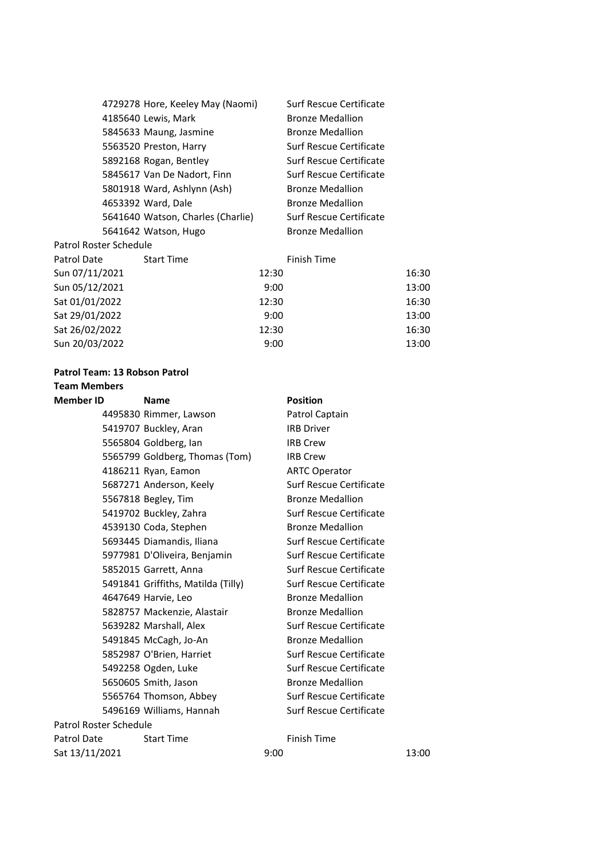|                        | 4729278 Hore, Keeley May (Naomi)  |       | Surf Rescue Certificate |       |
|------------------------|-----------------------------------|-------|-------------------------|-------|
|                        | 4185640 Lewis, Mark               |       | <b>Bronze Medallion</b> |       |
|                        | 5845633 Maung, Jasmine            |       | <b>Bronze Medallion</b> |       |
|                        | 5563520 Preston, Harry            |       | Surf Rescue Certificate |       |
|                        | 5892168 Rogan, Bentley            |       | Surf Rescue Certificate |       |
|                        | 5845617 Van De Nadort, Finn       |       | Surf Rescue Certificate |       |
|                        | 5801918 Ward, Ashlynn (Ash)       |       | <b>Bronze Medallion</b> |       |
|                        | 4653392 Ward, Dale                |       | <b>Bronze Medallion</b> |       |
|                        | 5641640 Watson, Charles (Charlie) |       | Surf Rescue Certificate |       |
|                        | 5641642 Watson, Hugo              |       | <b>Bronze Medallion</b> |       |
| Patrol Roster Schedule |                                   |       |                         |       |
| Patrol Date            | <b>Start Time</b>                 |       | Finish Time             |       |
| Sun 07/11/2021         |                                   | 12:30 |                         | 16:30 |
| Sun 05/12/2021         |                                   | 9:00  |                         | 13:00 |
| Sat 01/01/2022         |                                   | 12:30 |                         | 16:30 |
| Sat 29/01/2022         |                                   | 9:00  |                         | 13:00 |
| Sat 26/02/2022         |                                   | 12:30 |                         | 16:30 |
| Sun 20/03/2022         |                                   | 9:00  |                         | 13:00 |
|                        |                                   |       |                         |       |

#### **Patrol Team: 13 Robson Patrol**

### **Team Members**

| <b>Member ID</b>       | <b>Name</b>                        | <b>Position</b>                |       |
|------------------------|------------------------------------|--------------------------------|-------|
|                        | 4495830 Rimmer, Lawson             | Patrol Captain                 |       |
|                        | 5419707 Buckley, Aran              | <b>IRB Driver</b>              |       |
|                        | 5565804 Goldberg, Ian              | <b>IRB Crew</b>                |       |
|                        | 5565799 Goldberg, Thomas (Tom)     | <b>IRB Crew</b>                |       |
|                        | 4186211 Ryan, Eamon                | <b>ARTC Operator</b>           |       |
|                        | 5687271 Anderson, Keely            | <b>Surf Rescue Certificate</b> |       |
|                        | 5567818 Begley, Tim                | <b>Bronze Medallion</b>        |       |
|                        | 5419702 Buckley, Zahra             | Surf Rescue Certificate        |       |
|                        | 4539130 Coda, Stephen              | <b>Bronze Medallion</b>        |       |
|                        | 5693445 Diamandis, Iliana          | Surf Rescue Certificate        |       |
|                        | 5977981 D'Oliveira, Benjamin       | Surf Rescue Certificate        |       |
|                        | 5852015 Garrett, Anna              | Surf Rescue Certificate        |       |
|                        | 5491841 Griffiths, Matilda (Tilly) | Surf Rescue Certificate        |       |
|                        | 4647649 Harvie, Leo                | <b>Bronze Medallion</b>        |       |
|                        | 5828757 Mackenzie, Alastair        | <b>Bronze Medallion</b>        |       |
|                        | 5639282 Marshall, Alex             | Surf Rescue Certificate        |       |
|                        | 5491845 McCagh, Jo-An              | <b>Bronze Medallion</b>        |       |
|                        | 5852987 O'Brien, Harriet           | Surf Rescue Certificate        |       |
|                        | 5492258 Ogden, Luke                | Surf Rescue Certificate        |       |
|                        | 5650605 Smith, Jason               | <b>Bronze Medallion</b>        |       |
|                        | 5565764 Thomson, Abbey             | Surf Rescue Certificate        |       |
|                        | 5496169 Williams, Hannah           | Surf Rescue Certificate        |       |
| Patrol Roster Schedule |                                    |                                |       |
| Patrol Date            | <b>Start Time</b>                  | <b>Finish Time</b>             |       |
| Sat 13/11/2021         |                                    | 9:00                           | 13:00 |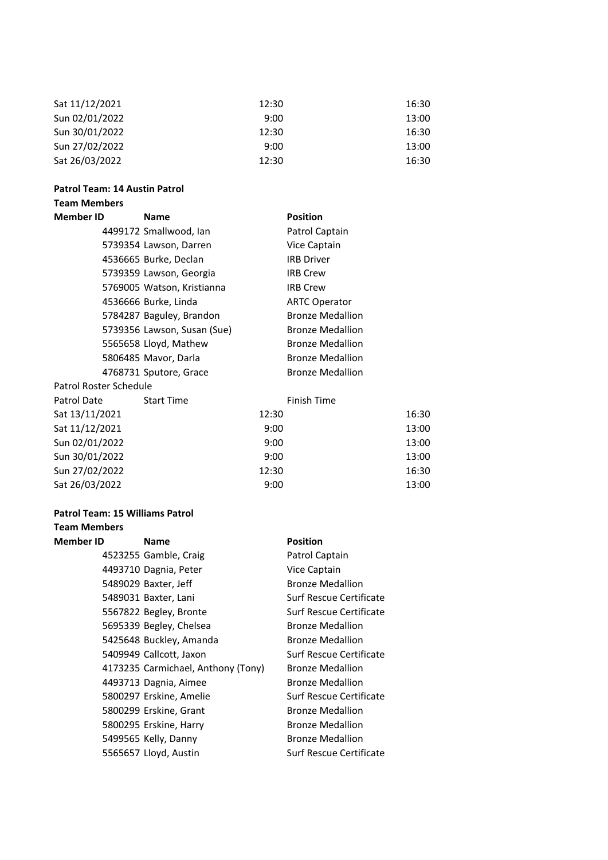| Sat 11/12/2021 | 12:30 | 16:30 |
|----------------|-------|-------|
| Sun 02/01/2022 | 9:00  | 13:00 |
| Sun 30/01/2022 | 12:30 | 16:30 |
| Sun 27/02/2022 | 9:00  | 13:00 |
| Sat 26/03/2022 | 12:30 | 16:30 |

#### **Patrol Team: 14 Austin Patrol**

#### **Team Members**

| <b>Member ID</b>       | Name                        |       | <b>Position</b>         |       |
|------------------------|-----------------------------|-------|-------------------------|-------|
|                        | 4499172 Smallwood, Ian      |       | Patrol Captain          |       |
|                        | 5739354 Lawson, Darren      |       | Vice Captain            |       |
|                        | 4536665 Burke, Declan       |       | <b>IRB Driver</b>       |       |
|                        | 5739359 Lawson, Georgia     |       | <b>IRB Crew</b>         |       |
|                        | 5769005 Watson, Kristianna  |       | <b>IRB Crew</b>         |       |
|                        | 4536666 Burke, Linda        |       | <b>ARTC Operator</b>    |       |
|                        | 5784287 Baguley, Brandon    |       | <b>Bronze Medallion</b> |       |
|                        | 5739356 Lawson, Susan (Sue) |       | <b>Bronze Medallion</b> |       |
|                        | 5565658 Lloyd, Mathew       |       | <b>Bronze Medallion</b> |       |
|                        | 5806485 Mavor, Darla        |       | <b>Bronze Medallion</b> |       |
|                        | 4768731 Sputore, Grace      |       | <b>Bronze Medallion</b> |       |
| Patrol Roster Schedule |                             |       |                         |       |
| Patrol Date            | <b>Start Time</b>           |       | <b>Finish Time</b>      |       |
| Sat 13/11/2021         |                             | 12:30 |                         | 16:30 |
| Sat 11/12/2021         |                             | 9:00  |                         | 13:00 |
| Sun 02/01/2022         |                             | 9:00  |                         | 13:00 |
| Sun 30/01/2022         |                             | 9:00  |                         | 13:00 |
| Sun 27/02/2022         |                             | 12:30 |                         | 16:30 |
| Sat 26/03/2022         |                             | 9:00  |                         | 13:00 |
|                        |                             |       |                         |       |

# **Patrol Team: 15 Williams Patrol**

| <b>Team Members</b> |                                    |                         |
|---------------------|------------------------------------|-------------------------|
| <b>Member ID</b>    | <b>Name</b>                        | <b>Position</b>         |
|                     | 4523255 Gamble, Craig              | Patrol Captain          |
|                     | 4493710 Dagnia, Peter              | Vice Captain            |
|                     | 5489029 Baxter, Jeff               | <b>Bronze Medallion</b> |
|                     | 5489031 Baxter, Lani               | Surf Rescue Certificate |
|                     | 5567822 Begley, Bronte             | Surf Rescue Certificate |
|                     | 5695339 Begley, Chelsea            | <b>Bronze Medallion</b> |
|                     | 5425648 Buckley, Amanda            | <b>Bronze Medallion</b> |
|                     | 5409949 Callcott, Jaxon            | Surf Rescue Certificate |
|                     | 4173235 Carmichael, Anthony (Tony) | <b>Bronze Medallion</b> |
|                     | 4493713 Dagnia, Aimee              | <b>Bronze Medallion</b> |
|                     | 5800297 Erskine, Amelie            | Surf Rescue Certificate |
|                     | 5800299 Erskine, Grant             | <b>Bronze Medallion</b> |
|                     | 5800295 Erskine, Harry             | <b>Bronze Medallion</b> |
|                     | 5499565 Kelly, Danny               | <b>Bronze Medallion</b> |
|                     | 5565657 Lloyd, Austin              | Surf Rescue Certificate |
|                     |                                    |                         |

| Patrol Captain          |
|-------------------------|
| Vice Captain            |
| Bronze Medallion        |
| Surf Rescue Certificate |
| Surf Rescue Certificate |
| Bronze Medallion        |
| Bronze Medallion        |
| Surf Rescue Certificate |
| Bronze Medallion        |
| Bronze Medallion        |
| Surf Rescue Certificate |
| Bronze Medallion        |
| Bronze Medallion        |
| <b>Bronze Medallion</b> |
| Surf Raccua Cartificata |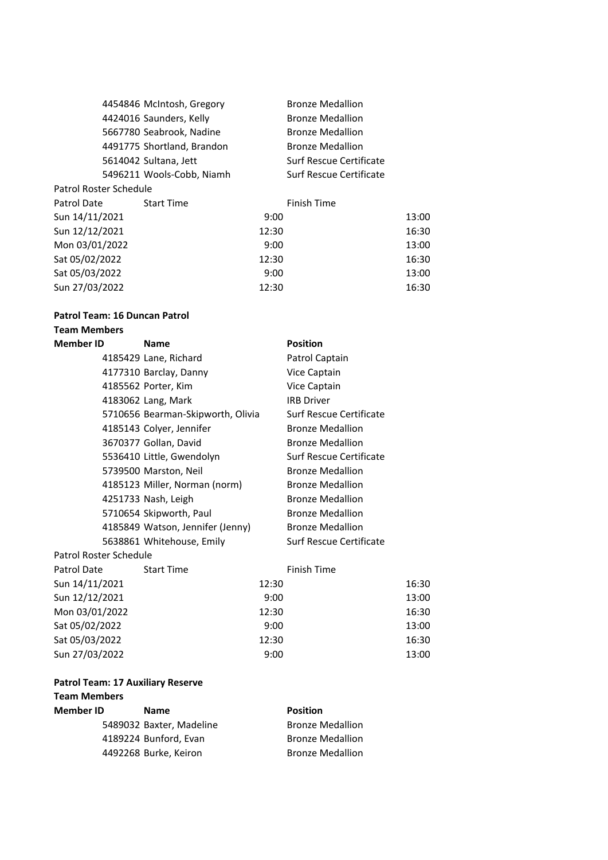|                        | 4454846 McIntosh, Gregory  |       | <b>Bronze Medallion</b> |       |
|------------------------|----------------------------|-------|-------------------------|-------|
|                        | 4424016 Saunders, Kelly    |       | <b>Bronze Medallion</b> |       |
|                        | 5667780 Seabrook, Nadine   |       | <b>Bronze Medallion</b> |       |
|                        | 4491775 Shortland, Brandon |       | <b>Bronze Medallion</b> |       |
|                        | 5614042 Sultana, Jett      |       | Surf Rescue Certificate |       |
|                        | 5496211 Wools-Cobb, Niamh  |       | Surf Rescue Certificate |       |
| Patrol Roster Schedule |                            |       |                         |       |
| Patrol Date            | <b>Start Time</b>          |       | <b>Finish Time</b>      |       |
| Sun 14/11/2021         |                            | 9:00  |                         | 13:00 |
| Sun 12/12/2021         |                            | 12:30 |                         | 16:30 |
| Mon 03/01/2022         |                            | 9:00  |                         | 13:00 |
| Sat 05/02/2022         |                            | 12:30 |                         | 16:30 |
| Sat 05/03/2022         |                            | 9:00  |                         | 13:00 |
| Sun 27/03/2022         |                            | 12:30 |                         | 16:30 |

#### **Patrol Team: 16 Duncan Patrol**

### **Team Members**

| <b>Member ID</b>       | <b>Name</b>                       |       | <b>Position</b>         |       |
|------------------------|-----------------------------------|-------|-------------------------|-------|
|                        | 4185429 Lane, Richard             |       | Patrol Captain          |       |
|                        | 4177310 Barclay, Danny            |       | Vice Captain            |       |
|                        | 4185562 Porter, Kim               |       | Vice Captain            |       |
|                        | 4183062 Lang, Mark                |       | <b>IRB Driver</b>       |       |
|                        | 5710656 Bearman-Skipworth, Olivia |       | Surf Rescue Certificate |       |
|                        | 4185143 Colyer, Jennifer          |       | <b>Bronze Medallion</b> |       |
|                        | 3670377 Gollan, David             |       | <b>Bronze Medallion</b> |       |
|                        | 5536410 Little, Gwendolyn         |       | Surf Rescue Certificate |       |
|                        | 5739500 Marston, Neil             |       | <b>Bronze Medallion</b> |       |
|                        | 4185123 Miller, Norman (norm)     |       | <b>Bronze Medallion</b> |       |
|                        | 4251733 Nash, Leigh               |       | <b>Bronze Medallion</b> |       |
|                        | 5710654 Skipworth, Paul           |       | <b>Bronze Medallion</b> |       |
|                        | 4185849 Watson, Jennifer (Jenny)  |       | <b>Bronze Medallion</b> |       |
|                        | 5638861 Whitehouse, Emily         |       | Surf Rescue Certificate |       |
| Patrol Roster Schedule |                                   |       |                         |       |
| Patrol Date            | <b>Start Time</b>                 |       | <b>Finish Time</b>      |       |
| Sun 14/11/2021         |                                   | 12:30 |                         | 16:30 |
| Sun 12/12/2021         |                                   | 9:00  |                         | 13:00 |
| Mon 03/01/2022         |                                   | 12:30 |                         | 16:30 |
| Sat 05/02/2022         |                                   | 9:00  |                         | 13:00 |
| Sat 05/03/2022         |                                   | 12:30 |                         | 16:30 |
| Sun 27/03/2022         |                                   | 9:00  |                         | 13:00 |

# **Patrol Team: 17 Auxiliary Reserve**

| Team Members |                          |                         |  |  |  |  |
|--------------|--------------------------|-------------------------|--|--|--|--|
| Member ID    | <b>Name</b>              | <b>Position</b>         |  |  |  |  |
|              | 5489032 Baxter, Madeline | <b>Bronze Medallion</b> |  |  |  |  |
|              | 4189224 Bunford, Evan    | <b>Bronze Medallion</b> |  |  |  |  |
|              | 4492268 Burke, Keiron    | <b>Bronze Medallion</b> |  |  |  |  |
|              |                          |                         |  |  |  |  |